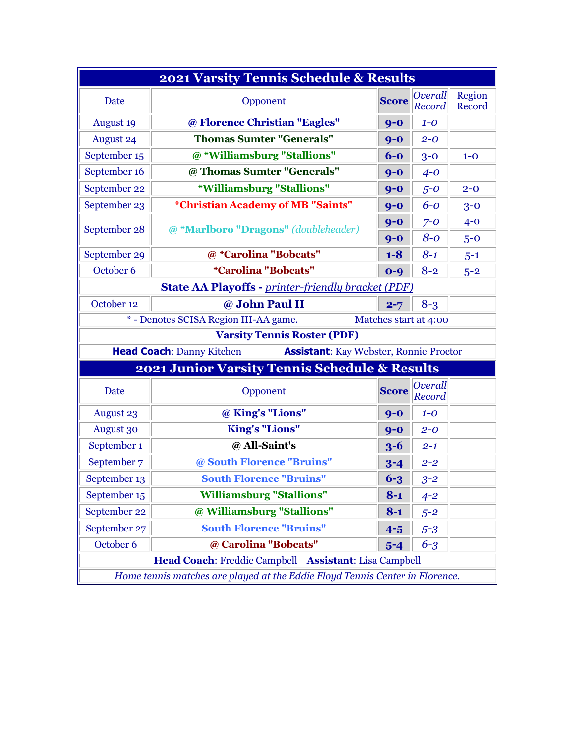| 2021 Varsity Tennis Schedule & Results                                            |                                          |              |                       |                  |  |
|-----------------------------------------------------------------------------------|------------------------------------------|--------------|-----------------------|------------------|--|
| Date                                                                              | Opponent                                 | <b>Score</b> | Overall<br>Record     | Region<br>Record |  |
| <b>August 19</b>                                                                  | @ Florence Christian "Eagles"            | $9 - 0$      | $1 - O$               |                  |  |
| <b>August 24</b>                                                                  | <b>Thomas Sumter "Generals"</b>          | $9 - 0$      | $2 - 0$               |                  |  |
| September 15                                                                      | @ *Williamsburg "Stallions"              | $6-0$        | $3 - 0$               | $1 - 0$          |  |
| September 16                                                                      | @ Thomas Sumter "Generals"               | $9-0$        | $4 - 0$               |                  |  |
| September 22                                                                      | <i><b>*Williamsburg "Stallions"</b></i>  | $9 - 0$      | $5-0$                 | $2 - 0$          |  |
| September 23                                                                      | <i>*Christian Academy of MB "Saints"</i> | $9-0$        | $6-0$                 | $3 - 0$          |  |
| September 28                                                                      | @ *Marlboro "Dragons" (doubleheader)     | $9 - 0$      | $7 - 0$               | $4 - 0$          |  |
|                                                                                   |                                          | $9 - 0$      | $8 - 0$               | $5-0$            |  |
| September 29                                                                      | @ *Carolina "Bobcats"                    | $1 - 8$      | $8 - 1$               | $5 - 1$          |  |
| October 6                                                                         | <i><b>*Carolina "Bobcats"</b></i>        | $0 - 9$      | $8 - 2$               | $5 - 2$          |  |
| <b>State AA Playoffs - printer-friendly bracket (PDF)</b>                         |                                          |              |                       |                  |  |
| October 12                                                                        | @ John Paul II                           | $2 - 7$      | $8 - 3$               |                  |  |
|                                                                                   | * - Denotes SCISA Region III-AA game.    |              | Matches start at 4:00 |                  |  |
| <b>Varsity Tennis Roster (PDF)</b>                                                |                                          |              |                       |                  |  |
| <b>Head Coach: Danny Kitchen</b><br><b>Assistant:</b> Kay Webster, Ronnie Proctor |                                          |              |                       |                  |  |
| 2021 Junior Varsity Tennis Schedule & Results                                     |                                          |              |                       |                  |  |
| Date                                                                              | Opponent                                 | <b>Score</b> | Overall<br>Record     |                  |  |
| <b>August 23</b>                                                                  | @ King's "Lions"                         | $9-0$        | $1 - 0$               |                  |  |
| <b>August 30</b>                                                                  | <b>King's "Lions"</b>                    | $9-0$        | $2 - 0$               |                  |  |
| September 1                                                                       | @ All-Saint's                            | $3 - 6$      | $2 - 1$               |                  |  |
| September 7                                                                       | @ South Florence "Bruins"                | $3 - 4$      | $2 - 2$               |                  |  |
| September 13                                                                      | <b>South Florence "Bruins"</b>           | $6 - 3$      | $3 - 2$               |                  |  |
| September 15                                                                      | <b>Williamsburg "Stallions"</b>          | $8 - 1$      | $4 - 2$               |                  |  |
| September 22                                                                      | @ Williamsburg "Stallions"               | $8 - 1$      | $5 - 2$               |                  |  |
| September 27                                                                      | <b>South Florence "Bruins"</b>           | $4-5$        | $5 - 3$               |                  |  |
| October 6                                                                         | @ Carolina "Bobcats"                     | $5 - 4$      | $6 - 3$               |                  |  |
| Head Coach: Freddie Campbell Assistant: Lisa Campbell                             |                                          |              |                       |                  |  |
| Home tennis matches are played at the Eddie Floyd Tennis Center in Florence.      |                                          |              |                       |                  |  |